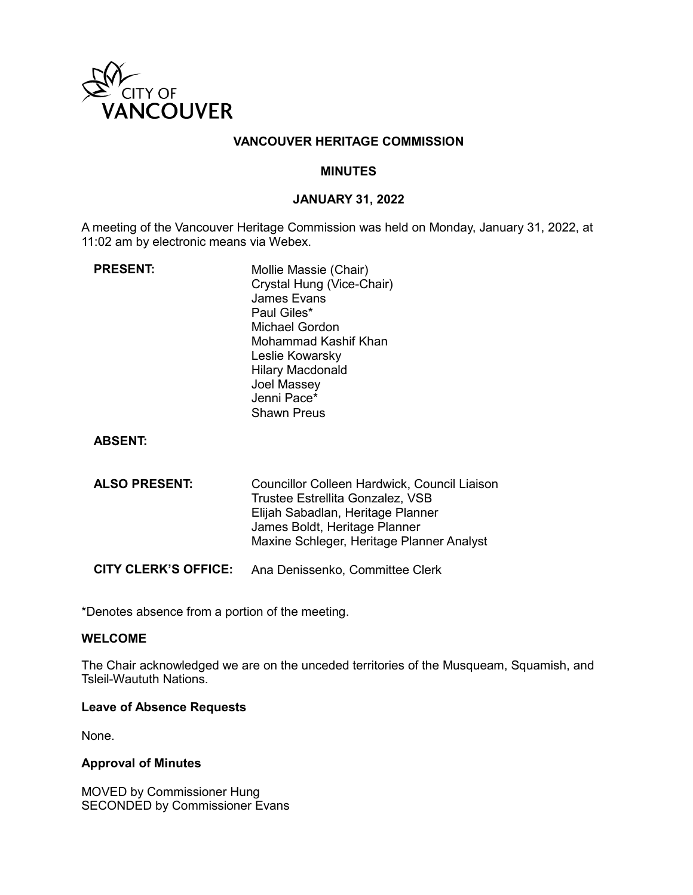

### **VANCOUVER HERITAGE COMMISSION**

#### **MINUTES**

### **JANUARY 31, 2022**

A meeting of the Vancouver Heritage Commission was held on Monday, January 31, 2022, at 11:02 am by electronic means via Webex.

| <b>PRESENT:</b> | Mollie Massie (Chair)     |
|-----------------|---------------------------|
|                 | Crystal Hung (Vice-Chair) |
|                 | <b>James Evans</b>        |
|                 | Paul Giles*               |
|                 | Michael Gordon            |
|                 | Mohammad Kashif Khan      |
|                 | Leslie Kowarsky           |
|                 | <b>Hilary Macdonald</b>   |
|                 | Joel Massey               |
|                 | Jenni Pace*               |
|                 | <b>Shawn Preus</b>        |
|                 |                           |

### **ABSENT:**

| <b>ALSO PRESENT:</b> | Councillor Colleen Hardwick, Council Liaison |
|----------------------|----------------------------------------------|
|                      | Trustee Estrellita Gonzalez, VSB             |
|                      | Elijah Sabadlan, Heritage Planner            |
|                      | James Boldt, Heritage Planner                |
|                      | Maxine Schleger, Heritage Planner Analyst    |
|                      |                                              |

**CITY CLERK'S OFFICE:** Ana Denissenko, Committee Clerk

\*Denotes absence from a portion of the meeting.

#### **WELCOME**

The Chair acknowledged we are on the unceded territories of the Musqueam, Squamish, and Tsleil-Waututh Nations.

#### **Leave of Absence Requests**

None.

#### **Approval of Minutes**

MOVED by Commissioner Hung SECONDED by Commissioner Evans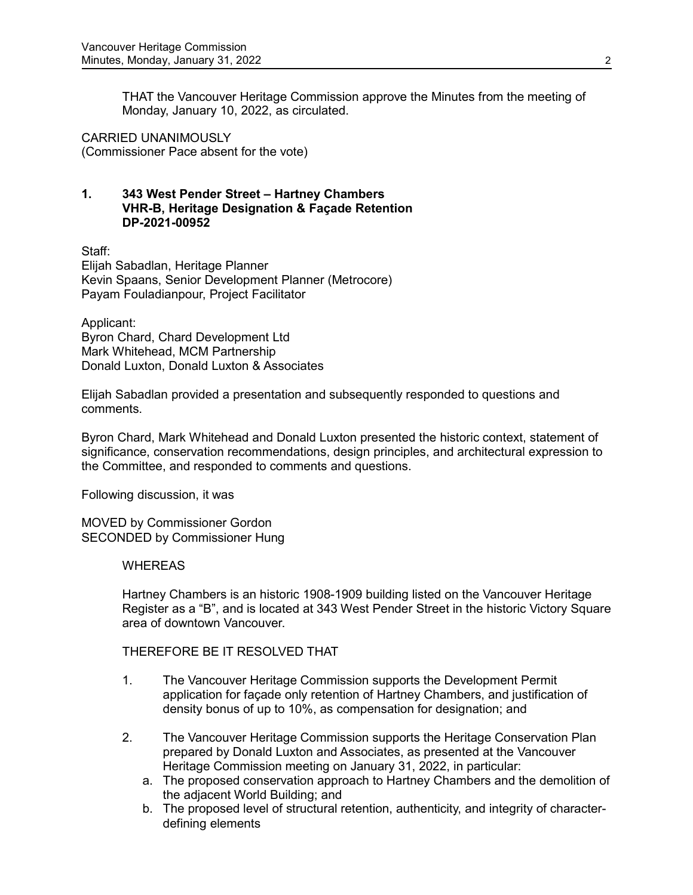THAT the Vancouver Heritage Commission approve the Minutes from the meeting of Monday, January 10, 2022, as circulated.

CARRIED UNANIMOUSLY (Commissioner Pace absent for the vote)

# **1. 343 West Pender Street – Hartney Chambers VHR-B, Heritage Designation & Façade Retention DP-2021-00952**

Staff: Elijah Sabadlan, Heritage Planner Kevin Spaans, Senior Development Planner (Metrocore) Payam Fouladianpour, Project Facilitator

Applicant: Byron Chard, Chard Development Ltd Mark Whitehead, MCM Partnership Donald Luxton, Donald Luxton & Associates

Elijah Sabadlan provided a presentation and subsequently responded to questions and comments.

Byron Chard, Mark Whitehead and Donald Luxton presented the historic context, statement of significance, conservation recommendations, design principles, and architectural expression to the Committee, and responded to comments and questions.

Following discussion, it was

MOVED by Commissioner Gordon SECONDED by Commissioner Hung

# **WHEREAS**

Hartney Chambers is an historic 1908-1909 building listed on the Vancouver Heritage Register as a "B", and is located at 343 West Pender Street in the historic Victory Square area of downtown Vancouver.

THEREFORE BE IT RESOLVED THAT

- 1. The Vancouver Heritage Commission supports the Development Permit application for façade only retention of Hartney Chambers, and justification of density bonus of up to 10%, as compensation for designation; and
- 2. The Vancouver Heritage Commission supports the Heritage Conservation Plan prepared by Donald Luxton and Associates, as presented at the Vancouver Heritage Commission meeting on January 31, 2022, in particular:
	- a. The proposed conservation approach to Hartney Chambers and the demolition of the adjacent World Building; and
	- b. The proposed level of structural retention, authenticity, and integrity of characterdefining elements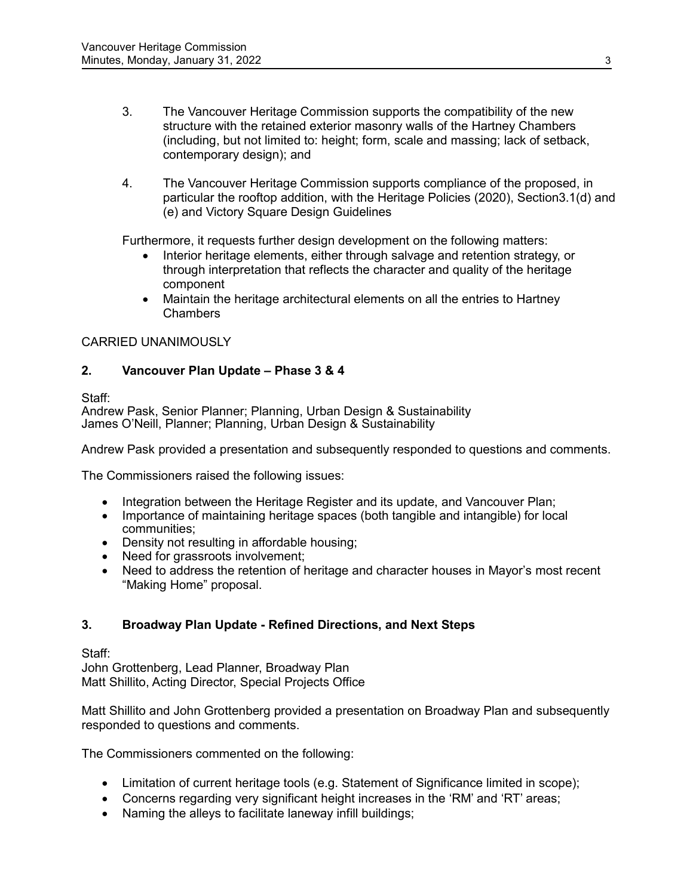- 3. The Vancouver Heritage Commission supports the compatibility of the new structure with the retained exterior masonry walls of the Hartney Chambers (including, but not limited to: height; form, scale and massing; lack of setback, contemporary design); and
- 4. The Vancouver Heritage Commission supports compliance of the proposed, in particular the rooftop addition, with the Heritage Policies (2020), Section3.1(d) and (e) and Victory Square Design Guidelines

Furthermore, it requests further design development on the following matters:

- Interior heritage elements, either through salvage and retention strategy, or through interpretation that reflects the character and quality of the heritage component
- Maintain the heritage architectural elements on all the entries to Hartney Chambers

# CARRIED UNANIMOUSLY

# **2. Vancouver Plan Update – Phase 3 & 4**

Staff:

Andrew Pask, Senior Planner; Planning, Urban Design & Sustainability James O'Neill, Planner; Planning, Urban Design & Sustainability

Andrew Pask provided a presentation and subsequently responded to questions and comments.

The Commissioners raised the following issues:

- Integration between the Heritage Register and its update, and Vancouver Plan;
- Importance of maintaining heritage spaces (both tangible and intangible) for local communities;
- Density not resulting in affordable housing;
- Need for grassroots involvement;
- Need to address the retention of heritage and character houses in Mayor's most recent "Making Home" proposal.

# **3. Broadway Plan Update - Refined Directions, and Next Steps**

Staff:

John Grottenberg, Lead Planner, Broadway Plan Matt Shillito, Acting Director, Special Projects Office

Matt Shillito and John Grottenberg provided a presentation on Broadway Plan and subsequently responded to questions and comments.

The Commissioners commented on the following:

- Limitation of current heritage tools (e.g. Statement of Significance limited in scope);
- Concerns regarding very significant height increases in the 'RM' and 'RT' areas;
- Naming the alleys to facilitate laneway infill buildings;